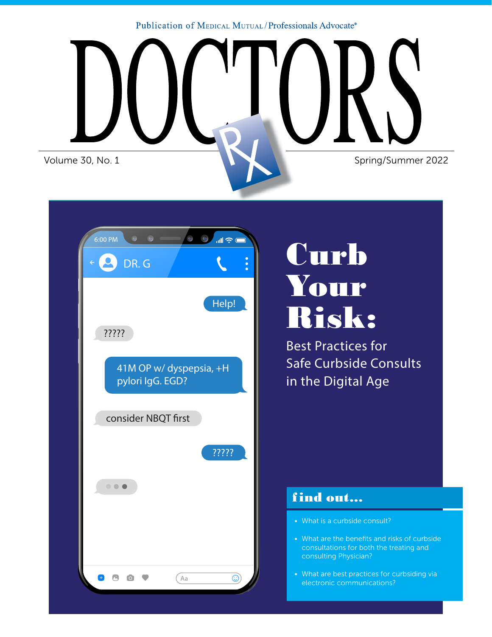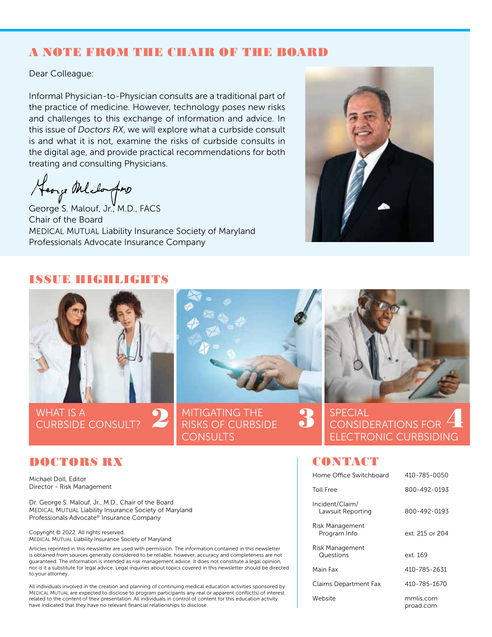## A NOTE FROM THE CHAIR OF THE BOARD

Dear Colleague:

Informal Physician-to-Physician consults are a traditional part of the practice of medicine. However, technology poses new risks and challenges to this exchange of information and advice. In this issue of *Doctors RX*, we will explore what a curbside consult is and what it is not, examine the risks of curbside consults in the digital age, and provide practical recommendations for both treating and consulting Physicians.

Heorge Melofons<br>George S. Malouf, Jr., M.D., FACS

Chair of the Board MEDICAL MUTUAL Liability Insurance Society of Maryland Professionals Advocate Insurance Company



#### ISSUE HIGHLIGHTS



#### DOCTORS RX

Michael Doll, Editor Director - Risk Management

Dr. George S. Malouf, Jr., M.D., Chair of the Board MEDICAL MUTUAL Liability Insurance Society of Maryland Professionals Advocate® Insurance Company

Copyright © 2022. All rights reserved. MEDICAL MUTUAL Liability Insurance Society of Maryland

Articles reprinted in this newsletter are used with permission. The information contained in this newsletter is obtained from sources generally considered to be reliable, however, accuracy and completeness are not guaranteed. The information is intended as risk management advice. It does not constitute a legal opinion, nor is it a substitute for legal advice. Legal inquiries about topics covered in this newsletter should be directed to your attorney.

All individuals involved in the creation and planning of continuing medical education activities sponsored by MEDICAL MUTUAL are expected to disclose to program participants any real or apparent conflict(s) of interest related to the content of their presentation. All individuals in control of content for this education activity have indicated that they have no relevant financial relationships to disclose.

#### **CONTACT**

| Home Office Switchboard              | 410-785-0050           |
|--------------------------------------|------------------------|
| <b>Toll Free</b>                     | 800-492-0193           |
| Incident/Claim/<br>Lawsuit Reporting | 800-492-0193           |
| Risk Management<br>Program Info      | ext. 215 or 204        |
| Risk Management<br>Questions         | ext. 169               |
| Main Fax                             | 410-785-2631           |
| Claims Department Fax                | 410-785-1670           |
| Website                              | mmlis.com<br>proad.com |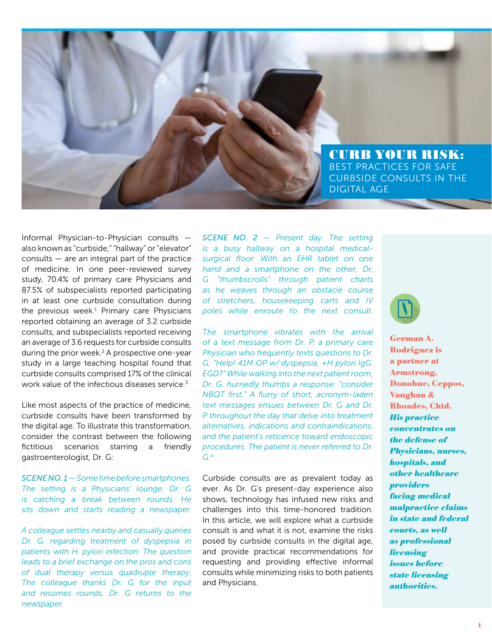CURB YOUR RISK: BEST PRACTICES FOR SAFE CURBSIDE CONSULTS IN THE DIGITAL AGE

Informal Physician-to-Physician consults also known as "curbside," "hallway" or "elevator" consults — are an integral part of the practice of medicine. In one peer-reviewed survey study, 70.4% of primary care Physicians and 87.5% of subspecialists reported participating in at least one curbside consultation during the previous week.<sup>1</sup> Primary care Physicians reported obtaining an average of 3.2 curbside consults, and subspecialists reported receiving an average of 3.6 requests for curbside consults during the prior week.<sup>2</sup> A prospective one-year study in a large teaching hospital found that curbside consults comprised 17% of the clinical work value of the infectious diseases service. $3$ 

Like most aspects of the practice of medicine, curbside consults have been transformed by the digital age. To illustrate this transformation, consider the contrast between the following fictitious scenarios starring a friendly gastroenterologist, Dr. G:

*SCENE NO. 1 — Some time before smartphones. The setting is a Physicians' lounge. Dr. G is catching a break between rounds. He sits down and starts reading a newspaper.*

*A colleague settles nearby and casually queries Dr. G. regarding treatment of dyspepsia in patients with H. pylori infection. The question leads to a brief exchange on the pros and cons of dual therapy versus quadruple therapy. The colleague thanks Dr. G for the input and resumes rounds. Dr. G returns to the newspaper.*

*SCENE NO. 2 — Present day. The setting is a busy hallway on a hospital medicalsurgical floor. With an EHR tablet on one hand and a smartphone on the other, Dr. G "thumbscrolls" through patient charts as he weaves through an obstacle course of stretchers, housekeeping carts and IV poles while enroute to the next consult.*

*The smartphone vibrates with the arrival of a text message from Dr. P, a primary care Physician who frequently texts questions to Dr. G: "Help! 41M OP w/ dyspepsia, +H pylori IgG. EGD?" While walking into the next patient room, Dr. G. hurriedly thumbs a response: "consider NBQT first." A flurry of short, acronym-laden text messages ensues between Dr. G and Dr. P throughout the day that delve into treatment alternatives, indications and contraindications, and the patient's reticence toward endoscopic procedures. The patient is never referred to Dr. G.4*

Curbside consults are as prevalent today as ever. As Dr. G's present-day experience also shows, technology has infused new risks and challenges into this time-honored tradition. In this article, we will explore what a curbside consult is and what it is not, examine the risks posed by curbside consults in the digital age, and provide practical recommendations for requesting and providing effective informal consults while minimizing risks to both patients and Physicians.



German A. Rodriguez is a partner at Armstrong, Donohue, Ceppos, Vaughan & Rhoades, Chtd. His practice concentrates on the defense of Physicians, nurses, hospitals, and other healthcare providers facing medical malpractice claims in state and federal courts, as well as professional **licensing** issues before state licensing authorities.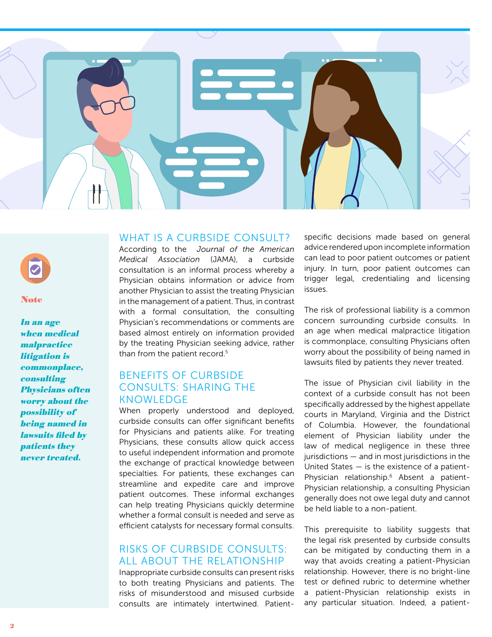

#### Note

In an age when medical malpractice litigation is commonplace, consulting Physicians often worry about the possibility of being named in lawsuits filed by patients they never treated.

#### WHAT IS A CURBSIDE CONSULT?

According to the *Journal of the American Medical Association* (JAMA), a curbside consultation is an informal process whereby a Physician obtains information or advice from another Physician to assist the treating Physician in the management of a patient. Thus, in contrast with a formal consultation, the consulting Physician's recommendations or comments are based almost entirely on information provided by the treating Physician seeking advice, rather than from the patient record.<sup>5</sup>

#### BENEFITS OF CURBSIDE CONSULTS: SHARING THE KNOWLEDGE

When properly understood and deployed, curbside consults can offer significant benefits for Physicians and patients alike. For treating Physicians, these consults allow quick access to useful independent information and promote the exchange of practical knowledge between specialties. For patients, these exchanges can streamline and expedite care and improve patient outcomes. These informal exchanges can help treating Physicians quickly determine whether a formal consult is needed and serve as efficient catalysts for necessary formal consults.

#### RISKS OF CURBSIDE CONSULTS: ALL ABOUT THE RELATIONSHIP

Inappropriate curbside consults can present risks to both treating Physicians and patients. The risks of misunderstood and misused curbside consults are intimately intertwined. Patient-

specific decisions made based on general advice rendered upon incomplete information can lead to poor patient outcomes or patient injury. In turn, poor patient outcomes can trigger legal, credentialing and licensing issues.

The risk of professional liability is a common concern surrounding curbside consults. In an age when medical malpractice litigation is commonplace, consulting Physicians often worry about the possibility of being named in lawsuits filed by patients they never treated.

The issue of Physician civil liability in the context of a curbside consult has not been specifically addressed by the highest appellate courts in Maryland, Virginia and the District of Columbia. However, the foundational element of Physician liability under the law of medical negligence in these three jurisdictions — and in most jurisdictions in the United States — is the existence of a patient-Physician relationship.6 Absent a patient-Physician relationship, a consulting Physician generally does not owe legal duty and cannot be held liable to a non-patient.

This prerequisite to liability suggests that the legal risk presented by curbside consults can be mitigated by conducting them in a way that avoids creating a patient-Physician relationship. However, there is no bright-line test or defined rubric to determine whether a patient-Physician relationship exists in any particular situation. Indeed, a patient-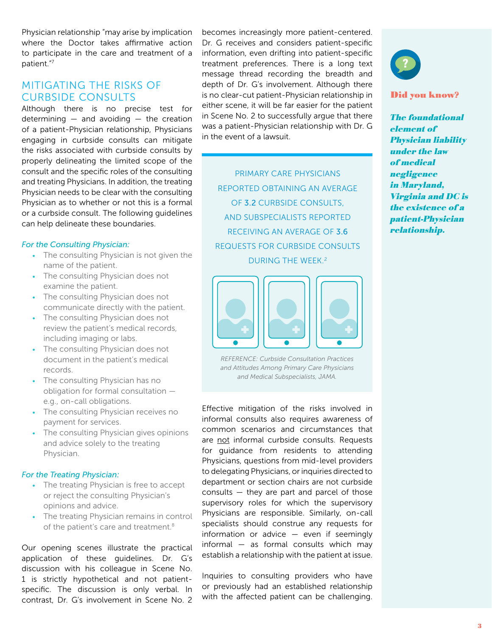Physician relationship "may arise by implication where the Doctor takes affirmative action to participate in the care and treatment of a patient."7

#### MITIGATING THE RISKS OF CURBSIDE CONSULTS

Although there is no precise test for determining  $-$  and avoiding  $-$  the creation of a patient-Physician relationship, Physicians engaging in curbside consults can mitigate the risks associated with curbside consults by properly delineating the limited scope of the consult and the specific roles of the consulting and treating Physicians. In addition, the treating Physician needs to be clear with the consulting Physician as to whether or not this is a formal or a curbside consult. The following guidelines can help delineate these boundaries.

#### *For the Consulting Physician:*

- *•* The consulting Physician is not given the name of the patient.
- *•* The consulting Physician does not examine the patient.
- *•* The consulting Physician does not communicate directly with the patient.
- *•* The consulting Physician does not review the patient's medical records, including imaging or labs.
- *•* The consulting Physician does not document in the patient's medical records.
- *•* The consulting Physician has no obligation for formal consultation e.g., on-call obligations.
- *•* The consulting Physician receives no payment for services.
- *•* The consulting Physician gives opinions and advice solely to the treating Physician.

#### *For the Treating Physician:*

- *•* The treating Physician is free to accept or reject the consulting Physician's opinions and advice.
- *•* The treating Physician remains in control of the patient's care and treatment.<sup>8</sup>

Our opening scenes illustrate the practical application of these guidelines. Dr. G's discussion with his colleague in Scene No. 1 is strictly hypothetical and not patientspecific. The discussion is only verbal. In contrast, Dr. G's involvement in Scene No. 2 becomes increasingly more patient-centered. Dr. G receives and considers patient-specific information, even drifting into patient-specific treatment preferences. There is a long text message thread recording the breadth and depth of Dr. G's involvement. Although there is no clear-cut patient-Physician relationship in either scene, it will be far easier for the patient in Scene No. 2 to successfully argue that there was a patient-Physician relationship with Dr. G in the event of a lawsuit.

PRIMARY CARE PHYSICIANS REPORTED OBTAINING AN AVERAGE OF 3.2 CURBSIDE CONSULTS, AND SUBSPECIALISTS REPORTED RECEIVING AN AVERAGE OF 3.6 REQUESTS FOR CURBSIDE CONSULTS DURING THE WEEK.<sup>2</sup>



*REFERENCE: Curbside Consultation Practices and Attitudes Among Primary Care Physicians and Medical Subspecialists, JAMA.*

Effective mitigation of the risks involved in informal consults also requires awareness of common scenarios and circumstances that are not informal curbside consults. Requests for guidance from residents to attending Physicians, questions from mid-level providers to delegating Physicians, or inquiries directed to department or section chairs are not curbside consults — they are part and parcel of those supervisory roles for which the supervisory Physicians are responsible. Similarly, on-call specialists should construe any requests for information or advice — even if seemingly informal — as formal consults which may establish a relationship with the patient at issue.

Inquiries to consulting providers who have or previously had an established relationship with the affected patient can be challenging.



#### Did you know?

The foundational element of Physician liability under the law of medical **negligence** in Maryland, Virginia and DC is the existence of a patient-Physician relationship.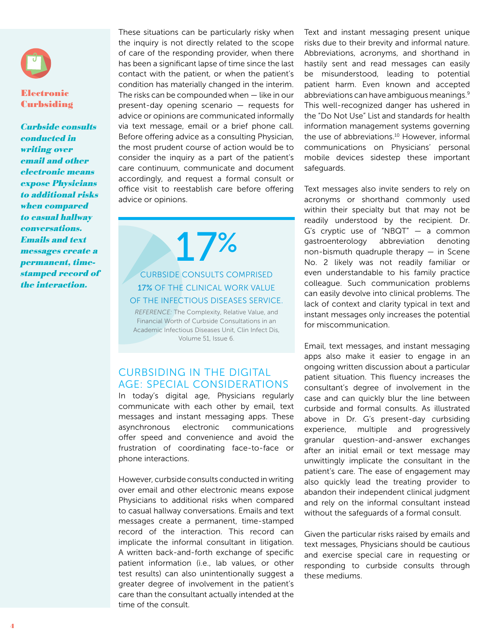#### Electronic **Curbsiding**

Curbside consults conducted in writing over email and other electronic means expose Physicians to additional risks when compared to casual hallway conversations. Emails and text messages create a permanent, timestamped record of the interaction.

These situations can be particularly risky when the inquiry is not directly related to the scope of care of the responding provider, when there has been a significant lapse of time since the last contact with the patient, or when the patient's condition has materially changed in the interim. The risks can be compounded when  $-$  like in our present-day opening scenario — requests for advice or opinions are communicated informally via text message, email or a brief phone call. Before offering advice as a consulting Physician, the most prudent course of action would be to consider the inquiry as a part of the patient's care continuum, communicate and document accordingly, and request a formal consult or office visit to reestablish care before offering advice or opinions.

17%

#### CURBSIDE CONSULTS COMPRISED 17% OF THE CLINICAL WORK VALUE OF THE INFECTIOUS DISEASES SERVICE.

*REFERENCE:* The Complexity, Relative Value, and Financial Worth of Curbside Consultations in an Academic Infectious Diseases Unit, Clin Infect Dis, Volume 51, Issue 6.

#### CURBSIDING IN THE DIGITAL AGE: SPECIAL CONSIDERATIONS

In today's digital age, Physicians regularly communicate with each other by email, text messages and instant messaging apps. These asynchronous electronic communications offer speed and convenience and avoid the frustration of coordinating face-to-face or phone interactions.

However, curbside consults conducted in writing over email and other electronic means expose Physicians to additional risks when compared to casual hallway conversations. Emails and text messages create a permanent, time-stamped record of the interaction. This record can implicate the informal consultant in litigation. A written back-and-forth exchange of specific patient information (i.e., lab values, or other test results) can also unintentionally suggest a greater degree of involvement in the patient's care than the consultant actually intended at the time of the consult.

Text and instant messaging present unique risks due to their brevity and informal nature. Abbreviations, acronyms, and shorthand in hastily sent and read messages can easily be misunderstood, leading to potential patient harm. Even known and accepted abbreviations can have ambiguous meanings.9 This well-recognized danger has ushered in the "Do Not Use" List and standards for health information management systems governing the use of abbreviations.<sup>10</sup> However, informal communications on Physicians' personal mobile devices sidestep these important safeguards.

Text messages also invite senders to rely on acronyms or shorthand commonly used within their specialty but that may not be readily understood by the recipient. Dr. G's cryptic use of "NBQT" — a common gastroenterology abbreviation denoting non-bismuth quadruple therapy  $-$  in Scene No. 2 likely was not readily familiar or even understandable to his family practice colleague. Such communication problems can easily devolve into clinical problems. The lack of context and clarity typical in text and instant messages only increases the potential for miscommunication.

Email, text messages, and instant messaging apps also make it easier to engage in an ongoing written discussion about a particular patient situation. This fluency increases the consultant's degree of involvement in the case and can quickly blur the line between curbside and formal consults. As illustrated above in Dr. G's present-day curbsiding experience, multiple and progressively granular question-and-answer exchanges after an initial email or text message may unwittingly implicate the consultant in the patient's care. The ease of engagement may also quickly lead the treating provider to abandon their independent clinical judgment and rely on the informal consultant instead without the safeguards of a formal consult.

Given the particular risks raised by emails and text messages, Physicians should be cautious and exercise special care in requesting or responding to curbside consults through these mediums.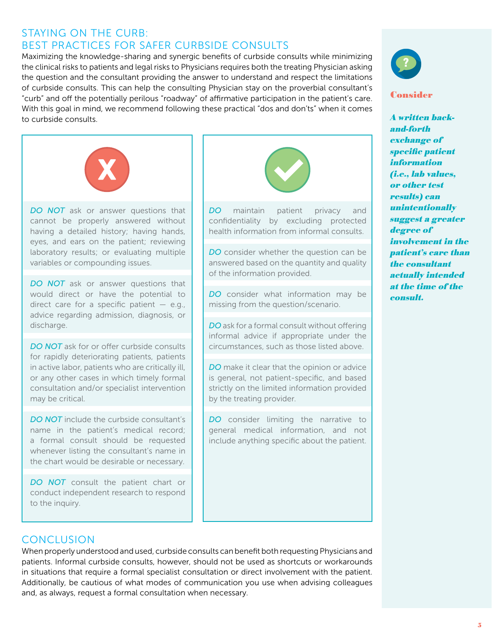## STAYING ON THE CURB: BEST PRACTICES FOR SAFER CURBSIDE CONSULTS

Maximizing the knowledge-sharing and synergic benefits of curbside consults while minimizing the clinical risks to patients and legal risks to Physicians requires both the treating Physician asking the question and the consultant providing the answer to understand and respect the limitations of curbside consults. This can help the consulting Physician stay on the proverbial consultant's "curb" and off the potentially perilous "roadway" of affirmative participation in the patient's care. With this goal in mind, we recommend following these practical "dos and don'ts" when it comes to curbside consults.



**DO NOT** ask or answer questions that cannot be properly answered without having a detailed history; having hands, eyes, and ears on the patient; reviewing laboratory results; or evaluating multiple variables or compounding issues.

**DO NOT** ask or answer questions that would direct or have the potential to direct care for a specific patient  $-$  e.g., advice regarding admission, diagnosis, or discharge.

**DO NOT** ask for or offer curbside consults for rapidly deteriorating patients, patients in active labor, patients who are critically ill, or any other cases in which timely formal consultation and/or specialist intervention may be critical.

*DO NOT* include the curbside consultant's name in the patient's medical record; a formal consult should be requested whenever listing the consultant's name in the chart would be desirable or necessary.

**DO NOT** consult the patient chart or conduct independent research to respond to the inquiry.



**DO** maintain patient privacy and confidentiality by excluding protected health information from informal consults.

*DO* consider whether the question can be answered based on the quantity and quality of the information provided.

**DO** consider what information may be missing from the question/scenario.

*DO* ask for a formal consult without offering informal advice if appropriate under the circumstances, such as those listed above.

**DO** make it clear that the opinion or advice is general, not patient-specific, and based strictly on the limited information provided by the treating provider.

**DO** consider limiting the narrative to general medical information, and not include anything specific about the patient.



#### Consider

A written backand-forth exchange of specific patient **information** (i.e., lab values, or other test results) can unintentionally suggest a greater degree of involvement in the patient's care than the consultant actually intended at the time of the consult.

# **CONCLUSION**

When properly understood and used, curbside consults can benefit both requesting Physicians and patients. Informal curbside consults, however, should not be used as shortcuts or workarounds in situations that require a formal specialist consultation or direct involvement with the patient. Additionally, be cautious of what modes of communication you use when advising colleagues and, as always, request a formal consultation when necessary.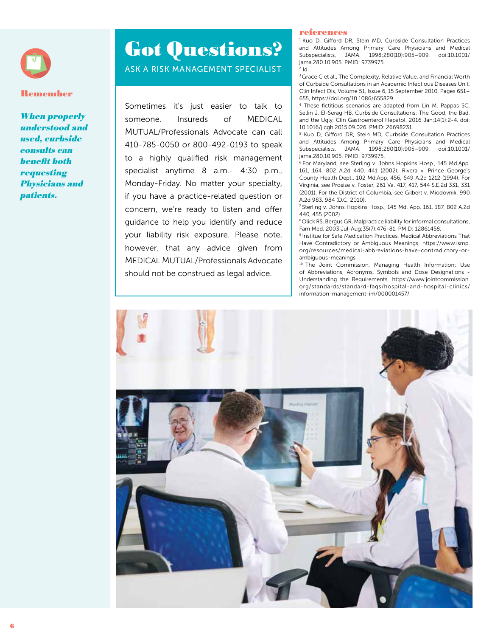

#### Remember

When properly understood and used, curbside consults can benefit both **requesting** Physicians and patients.

# Got Questions? ASK A RISK MANAGEMENT SPECIALIST

Sometimes it's just easier to talk to someone. Insureds of MEDICAL MUTUAL/Professionals Advocate can call 410-785-0050 or 800-492-0193 to speak to a highly qualified risk management specialist anytime 8 a.m.- 4:30 p.m., Monday-Friday. No matter your specialty, if you have a practice-related question or concern, we're ready to listen and offer guidance to help you identify and reduce your liability risk exposure. Please note, however, that any advice given from MEDICAL MUTUAL/Professionals Advocate should not be construed as legal advice.

#### references

<sup>1</sup> Kuo D, Gifford DR, Stein MD, Curbside Consultation Practices and Attitudes Among Primary Care Physicians and Medical Subspecialists, JAMA. 1998;280(10):905–909. doi:10.1001/ jama.280.10.905. PMID: 9739975.  $2$   $\mathsf{Id}$ .

<sup>3</sup> Grace C et al., The Complexity, Relative Value, and Financial Worth of Curbside Consultations in an Academic Infectious Diseases Unit, Clin Infect Dis, Volume 51, Issue 6, 15 September 2010, Pages 651– 655, https://doi.org/10.1086/655829

4 These fictitious scenarios are adapted from Lin M, Pappas SC, Sellin J, El-Serag HB, Curbside Consultations: The Good, the Bad, and the Ugly, Clin Gastroenterol Hepatol. 2016 Jan;14(1):2-4. doi: 10.1016/j.cgh.2015.09.026. PMID: 26698231.

5 Kuo D, Gifford DR, Stein MD, Curbside Consultation Practices and Attitudes Among Primary Care Physicians and Medical Subspecialists, JAMA. 1998;280(10):905–909. doi:10.1001/ jama.280.10.905. PMID: 9739975.

6 For Maryland, see Sterling v. Johns Hopkins Hosp., 145 Md.App. 161, 164, 802 A.2d 440, 441 (2002); Rivera v. Prince George's County Health Dept., 102 Md.App. 456, 649 A.2d 1212 (1994). For Virginia, see Prosise v. Foster, 261 Va. 417, 417, 544 S.E.2d 331, 331 (2001). For the District of Columbia, see Gilbert v. Miodovnik, 990 A.2d 983, 984 (D.C. 2010).

7 Sterling v. Johns Hopkins Hosp., 145 Md. App. 161, 187, 802 A.2d 440, 455 (2002).

8 Olick RS, Bergus GR, Malpractice liability for informal consultations, Fam Med. 2003 Jul-Aug;35(7):476-81. PMID: 12861458.

9 Institue for Safe Medication Practices, Medical Abbreviations That Have Contradictory or Ambiguous Meanings, https://www.ismp. org/resources/medical-abbreviations-have-contradictory-orambiguous-meanings

10 The Joint Commission, Managing Health Information: Use of Abbreviations, Acronyms, Symbols and Dose Designations - Understanding the Requirements, https://www.jointcommission. org/standards/standard-faqs/hospital-and-hospital-clinics/ information-management-im/000001457/

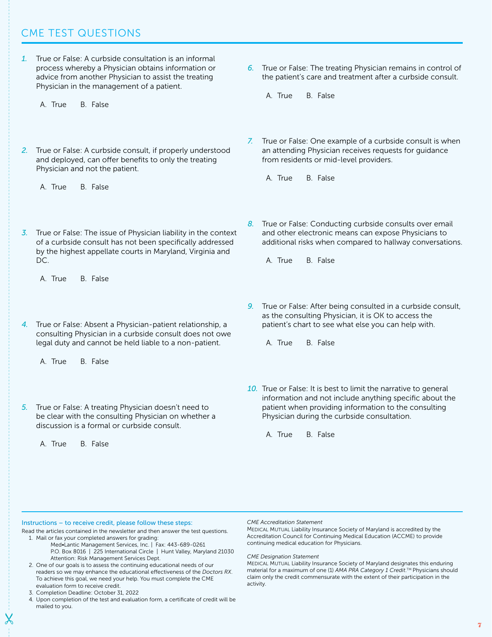# CME TEST QUESTIONS

- *1.* True or False: A curbside consultation is an informal process whereby a Physician obtains information or advice from another Physician to assist the treating Physician in the management of a patient.
	- A. True B. False
- *2.* True or False: A curbside consult, if properly understood and deployed, can offer benefits to only the treating Physician and not the patient.
	- A. True B. False
- *3.* True or False: The issue of Physician liability in the context of a curbside consult has not been specifically addressed by the highest appellate courts in Maryland, Virginia and DC.
	- A. True B. False
- *4.* True or False: Absent a Physician-patient relationship, a consulting Physician in a curbside consult does not owe legal duty and cannot be held liable to a non-patient.
	- A. True B. False
- *5.* True or False: A treating Physician doesn't need to be clear with the consulting Physician on whether a discussion is a formal or curbside consult.
	- A. True B. False
- *6.* True or False: The treating Physician remains in control of the patient's care and treatment after a curbside consult.
	- A. True B. False
- *7.* True or False: One example of a curbside consult is when an attending Physician receives requests for guidance from residents or mid-level providers.
	- A. True B. False
- *8.* True or False: Conducting curbside consults over email and other electronic means can expose Physicians to additional risks when compared to hallway conversations.
	- A. True B. False
- *9.* True or False: After being consulted in a curbside consult, as the consulting Physician, it is OK to access the patient's chart to see what else you can help with.
	- A. True B. False
- *10.* True or False: It is best to limit the narrative to general information and not include anything specific about the patient when providing information to the consulting Physician during the curbside consultation.
	- A. True B. False

#### Instructions – to receive credit, please follow these steps:

- Read the articles contained in the newsletter and then answer the test questions. 1. Mail or fax your completed answers for grading:
	- Med•Lantic Management Services, Inc. | Fax: 443-689-0261 P.O. Box 8016 | 225 International Circle | Hunt Valley, Maryland 21030 Attention: Risk Management Services Dept.
	- 2. One of our goals is to assess the continuing educational needs of our readers so we may enhance the educational effectiveness of the *Doctors RX*. To achieve this goal, we need your help. You must complete the CME evaluation form to receive credit.
	- 3. Completion Deadline: October 31, 2022
	- 4. Upon completion of the test and evaluation form, a certificate of credit will be mailed to you.

*CME Accreditation Statement*

MEDICAL MUTUAL Liability Insurance Society of Maryland is accredited by the Accreditation Council for Continuing Medical Education (ACCME) to provide continuing medical education for Physicians.

*CME Designation Statement* 

MEDICAL MUTUAL Liability Insurance Society of Maryland designates this enduring material for a maximum of one (1) *AMA PRA Category 1 Credit*. TM Physicians should claim only the credit commensurate with the extent of their participation in the activity.

7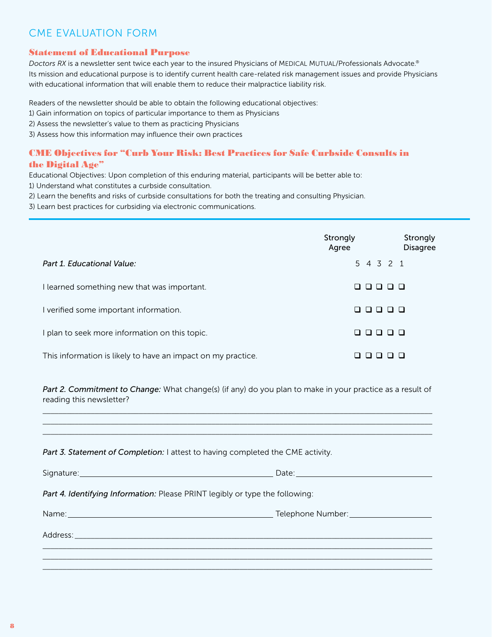# CME EVALUATION FORM

#### Statement of Educational Purpose

*Doctors RX* is a newsletter sent twice each year to the insured Physicians of MEDICAL MUTUAL/Professionals Advocate.® Its mission and educational purpose is to identify current health care-related risk management issues and provide Physicians with educational information that will enable them to reduce their malpractice liability risk.

Readers of the newsletter should be able to obtain the following educational objectives:

- 1) Gain information on topics of particular importance to them as Physicians
- 2) Assess the newsletter's value to them as practicing Physicians
- 3) Assess how this information may influence their own practices

#### CME Objectives for "Curb Your Risk: Best Practices for Safe Curbside Consults in the Digital Age"

Educational Objectives: Upon completion of this enduring material, participants will be better able to:

- 1) Understand what constitutes a curbside consultation.
- 2) Learn the benefits and risks of curbside consultations for both the treating and consulting Physician.
- 3) Learn best practices for curbsiding via electronic communications.

|                                                              | Strongly<br>Agree | Strongly<br><b>Disagree</b> |
|--------------------------------------------------------------|-------------------|-----------------------------|
| Part 1. Educational Value:                                   | 5 4 3 2 1         |                             |
| I learned something new that was important.                  | 0000<br>L I       |                             |
| verified some important information.                         | 00000             |                             |
| plan to seek more information on this topic.                 | 0000<br>$\Box$    |                             |
| This information is likely to have an impact on my practice. |                   |                             |

Part 2. Commitment to Change: What change(s) (if any) do you plan to make in your practice as a result of reading this newsletter?

 $\_$  ,  $\_$  ,  $\_$  ,  $\_$  ,  $\_$  ,  $\_$  ,  $\_$  ,  $\_$  ,  $\_$  ,  $\_$  ,  $\_$  ,  $\_$  ,  $\_$  ,  $\_$  ,  $\_$  ,  $\_$  ,  $\_$  ,  $\_$  ,  $\_$  ,  $\_$  ,  $\_$  ,  $\_$  ,  $\_$  ,  $\_$  ,  $\_$  ,  $\_$  ,  $\_$  ,  $\_$  ,  $\_$  ,  $\_$  ,  $\_$  ,  $\_$  ,  $\_$  ,  $\_$  ,  $\_$  ,  $\_$  ,  $\_$  ,  $\_$  ,  $\_$  ,  $\_$  ,  $\_$  ,  $\_$  ,  $\_$  ,  $\_$  ,  $\_$  ,  $\_$  ,  $\_$  ,  $\_$  ,  $\_$  ,  $\_$  ,  $\_$  ,  $\_$  ,  $\_$  ,  $\_$  ,  $\_$  ,  $\_$  ,  $\_$  ,  $\_$  ,  $\_$  ,  $\_$  ,  $\_$  ,  $\_$  ,  $\_$  ,  $\_$  ,  $\_$  ,  $\_$  ,  $\_$  ,  $\_$  ,  $\_$  ,  $\_$  ,  $\_$  ,  $\_$  ,  $\_$  ,  $\_$  ,  $\_$  ,  $\_$  ,  $\_$  ,  $\_$  ,  $\_$  ,  $\_$  ,  $\_$  ,  $\_$  ,  $\_$  ,  $\_$  ,  $\_$  ,  $\_$  ,  $\_$  ,  $\_$  ,  $\_$  ,  $\_$  ,  $\_$  ,  $\_$  ,  $\_$  ,  $\_$  ,  $\_$  ,  $\_$  ,  $\_$  ,  $\_$  ,  $\_$  ,  $\_$  ,  $\_$  ,  $\_$  ,  $\_$  ,  $\_$  ,  $\_$  ,  $\_$  ,  $\_$  ,  $\_$  ,  $\_$  ,  $\_$  ,  $\_$  ,

|  | Part 3. Statement of Completion: I attest to having completed the CME activity. |
|--|---------------------------------------------------------------------------------|
|  |                                                                                 |

| Date: https://www.archive.com/communications/                                |  |  |  |
|------------------------------------------------------------------------------|--|--|--|
| Part 4. Identifying Information: Please PRINT legibly or type the following: |  |  |  |
|                                                                              |  |  |  |
|                                                                              |  |  |  |
|                                                                              |  |  |  |
|                                                                              |  |  |  |
|                                                                              |  |  |  |
|                                                                              |  |  |  |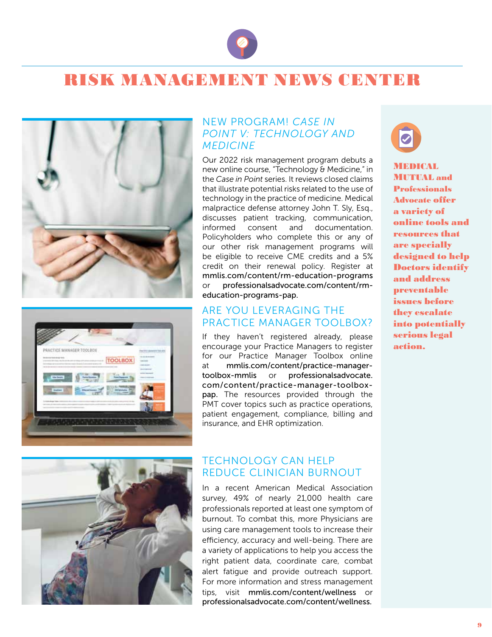

# RISK MANAGEMIENT NEWS CENTER





#### NEW PROGRAM! *CASE IN POINT V: TECHNOLOGY AND MEDICINE*

Our 2022 risk management program debuts a new online course, "Technology & Medicine," in the *Case in Point* series. It reviews closed claims that illustrate potential risks related to the use of technology in the practice of medicine. Medical malpractice defense attorney John T. Sly, Esq., discusses patient tracking, communication, informed consent and documentation. Policyholders who complete this or any of our other risk management programs will be eligible to receive CME credits and a 5% credit on their renewal policy. Register at mmlis.com/content/rm-education-programs or professionalsadvocate.com/content/rmeducation-programs-pap.

#### ARE YOU LEVERAGING THE PRACTICE MANAGER TOOLBOX?

If they haven't registered already, please encourage your Practice Managers to register for our Practice Manager Toolbox online at mmlis.com/content/practice-managertoolbox-mmlis or professionalsadvocate. com/content/practice-manager-toolboxpap. The resources provided through the PMT cover topics such as practice operations, patient engagement, compliance, billing and insurance, and EHR optimization.



**MEDICAL** MUTUAL and Professionals Advocate offer a variety of online tools and resources that are specially designed to help Doctors identify and address preventable issues before they escalate into potentially serious legal action.



#### TECHNOLOGY CAN HELP REDUCE CLINICIAN BURNOUT

In a recent American Medical Association survey, 49% of nearly 21,000 health care professionals reported at least one symptom of burnout. To combat this, more Physicians are using care management tools to increase their efficiency, accuracy and well-being. There are a variety of applications to help you access the right patient data, coordinate care, combat alert fatigue and provide outreach support. For more information and stress management tips, visit mmlis.com/content/wellness or professionalsadvocate.com/content/wellness.